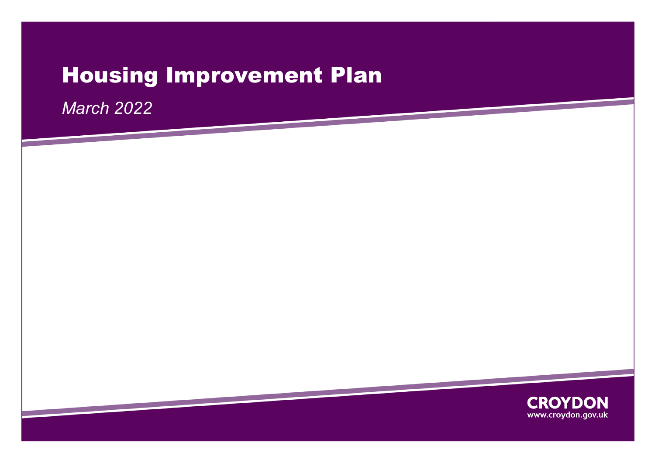# Housing Improvement Plan

*March 2022*

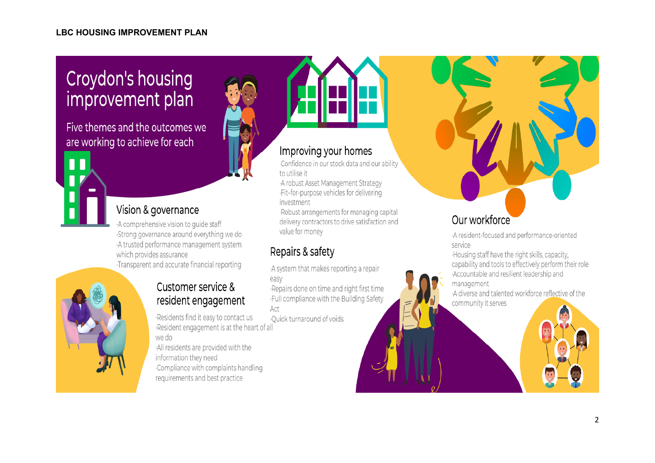## **Croydon's housing** improvement plan

Five themes and the outcomes we are working to achieve for each



## Vision & governance

A comprehensive vision to quide staff Strong governance around everything we do A trusted performance management system which provides assurance Transparent and accurate financial reporting



## Customer service & resident engagement

Residents find it easy to contact us Resident engagement is at the heart of all

we do

All residents are provided with the information they need Compliance with complaints handling requirements and best practice



### Improving your homes

Confidence in our stock data and our ability to utilise it

A robust Asset Management Strategy ·Fit-for-purpose vehicles for delivering investment

·Robust arrangements for managing capital delivery contractors to drive satisfaction and value for money

## Repairs & safety

A system that makes reporting a repair easy

Repairs done on time and right first time .Full compliance with the Building Safety Act

Ouick turnaround of voids

## Our workforce

A resident-focused and performance-oriented service

·Housing staff have the right skills, capacity, capability and tools to effectively perform their role Accountable and resilient leadership and management

A diverse and talented workforce reflective of the community it serves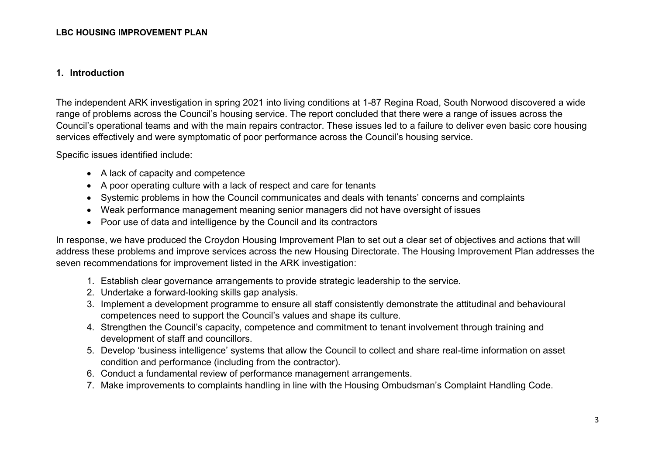#### **1. Introduction**

The independent ARK investigation in spring 2021 into living conditions at 1-87 Regina Road, South Norwood discovered a wide range of problems across the Council's housing service. The report concluded that there were a range of issues across the Council's operational teams and with the main repairs contractor. These issues led to a failure to deliver even basic core housing services effectively and were symptomatic of poor performance across the Council's housing service.

Specific issues identified include:

- A lack of capacity and competence
- A poor operating culture with a lack of respect and care for tenants
- Systemic problems in how the Council communicates and deals with tenants' concerns and complaints
- Weak performance management meaning senior managers did not have oversight of issues
- Poor use of data and intelligence by the Council and its contractors

In response, we have produced the Croydon Housing Improvement Plan to set out a clear set of objectives and actions that will address these problems and improve services across the new Housing Directorate. The Housing Improvement Plan addresses the seven recommendations for improvement listed in the ARK investigation:

- 1. Establish clear governance arrangements to provide strategic leadership to the service.
- 2. Undertake a forward-looking skills gap analysis.
- 3. Implement a development programme to ensure all staff consistently demonstrate the attitudinal and behavioural competences need to support the Council's values and shape its culture.
- 4. Strengthen the Council's capacity, competence and commitment to tenant involvement through training and development of staff and councillors.
- 5. Develop 'business intelligence' systems that allow the Council to collect and share real-time information on asset condition and performance (including from the contractor).
- 6. Conduct a fundamental review of performance management arrangements.
- 7. Make improvements to complaints handling in line with the Housing Ombudsman's Complaint Handling Code.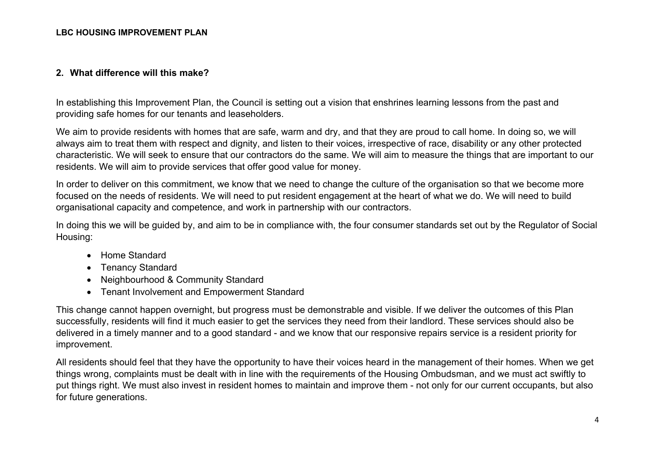#### **2. What difference will this make?**

In establishing this Improvement Plan, the Council is setting out a vision that enshrines learning lessons from the past and providing safe homes for our tenants and leaseholders.

We aim to provide residents with homes that are safe, warm and dry, and that they are proud to call home. In doing so, we will always aim to treat them with respect and dignity, and listen to their voices, irrespective of race, disability or any other protected characteristic. We will seek to ensure that our contractors do the same. We will aim to measure the things that are important to our residents. We will aim to provide services that offer good value for money.

In order to deliver on this commitment, we know that we need to change the culture of the organisation so that we become more focused on the needs of residents. We will need to put resident engagement at the heart of what we do. We will need to build organisational capacity and competence, and work in partnership with our contractors.

In doing this we will be guided by, and aim to be in compliance with, the four consumer standards set out by the Regulator of Social Housing:

- Home Standard
- Tenancy Standard
- Neighbourhood & Community Standard
- Tenant Involvement and Empowerment Standard

This change cannot happen overnight, but progress must be demonstrable and visible. If we deliver the outcomes of this Plan successfully, residents will find it much easier to get the services they need from their landlord. These services should also be delivered in a timely manner and to a good standard - and we know that our responsive repairs service is a resident priority for improvement.

All residents should feel that they have the opportunity to have their voices heard in the management of their homes. When we get things wrong, complaints must be dealt with in line with the requirements of the Housing Ombudsman, and we must act swiftly to put things right. We must also invest in resident homes to maintain and improve them - not only for our current occupants, but also for future generations.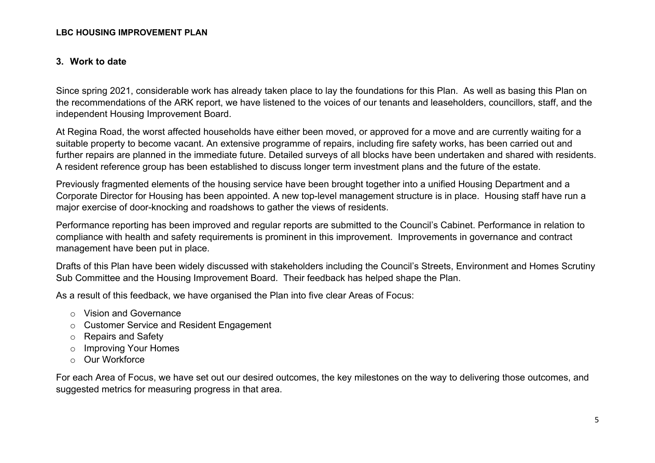#### **3. Work to date**

Since spring 2021, considerable work has already taken place to lay the foundations for this Plan. As well as basing this Plan on the recommendations of the ARK report, we have listened to the voices of our tenants and leaseholders, councillors, staff, and the independent Housing Improvement Board.

At Regina Road, the worst affected households have either been moved, or approved for a move and are currently waiting for a suitable property to become vacant. An extensive programme of repairs, including fire safety works, has been carried out and further repairs are planned in the immediate future. Detailed surveys of all blocks have been undertaken and shared with residents. A resident reference group has been established to discuss longer term investment plans and the future of the estate.

Previously fragmented elements of the housing service have been brought together into a unified Housing Department and a Corporate Director for Housing has been appointed. A new top-level management structure is in place. Housing staff have run a major exercise of door-knocking and roadshows to gather the views of residents.

Performance reporting has been improved and regular reports are submitted to the Council's Cabinet. Performance in relation to compliance with health and safety requirements is prominent in this improvement. Improvements in governance and contract management have been put in place.

Drafts of this Plan have been widely discussed with stakeholders including the Council's Streets, Environment and Homes Scrutiny Sub Committee and the Housing Improvement Board. Their feedback has helped shape the Plan.

As a result of this feedback, we have organised the Plan into five clear Areas of Focus:

- o Vision and Governance
- o Customer Service and Resident Engagement
- o Repairs and Safety
- o Improving Your Homes
- o Our Workforce

For each Area of Focus, we have set out our desired outcomes, the key milestones on the way to delivering those outcomes, and suggested metrics for measuring progress in that area.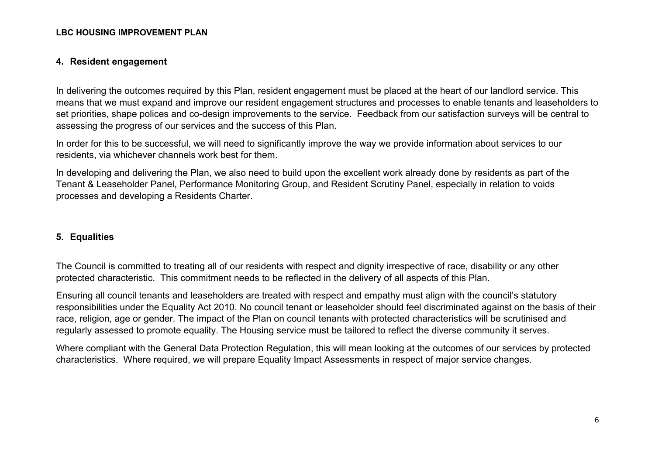#### **4. Resident engagement**

In delivering the outcomes required by this Plan, resident engagement must be placed at the heart of our landlord service. This means that we must expand and improve our resident engagement structures and processes to enable tenants and leaseholders to set priorities, shape polices and co-design improvements to the service. Feedback from our satisfaction surveys will be central to assessing the progress of our services and the success of this Plan.

In order for this to be successful, we will need to significantly improve the way we provide information about services to our residents, via whichever channels work best for them.

In developing and delivering the Plan, we also need to build upon the excellent work already done by residents as part of the Tenant & Leaseholder Panel, Performance Monitoring Group, and Resident Scrutiny Panel, especially in relation to voids processes and developing a Residents Charter.

#### **5. Equalities**

The Council is committed to treating all of our residents with respect and dignity irrespective of race, disability or any other protected characteristic. This commitment needs to be reflected in the delivery of all aspects of this Plan.

Ensuring all council tenants and leaseholders are treated with respect and empathy must align with the council's statutory responsibilities under the Equality Act 2010. No council tenant or leaseholder should feel discriminated against on the basis of their race, religion, age or gender. The impact of the Plan on council tenants with protected characteristics will be scrutinised and regularly assessed to promote equality. The Housing service must be tailored to reflect the diverse community it serves.

Where compliant with the General Data Protection Regulation, this will mean looking at the outcomes of our services by protected characteristics. Where required, we will prepare Equality Impact Assessments in respect of major service changes.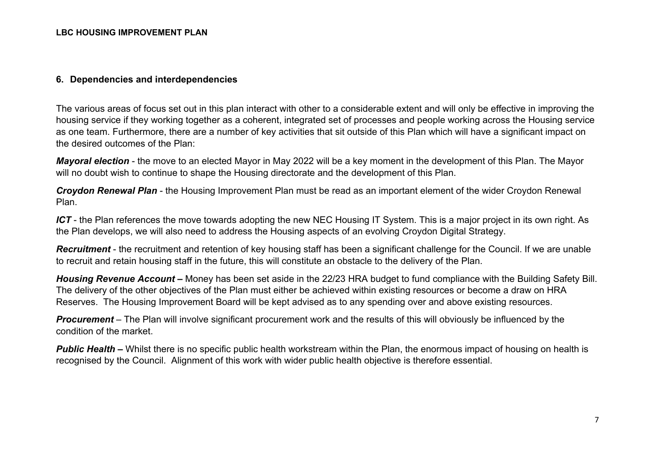#### **6. Dependencies and interdependencies**

The various areas of focus set out in this plan interact with other to a considerable extent and will only be effective in improving the housing service if they working together as a coherent, integrated set of processes and people working across the Housing service as one team. Furthermore, there are a number of key activities that sit outside of this Plan which will have a significant impact on the desired outcomes of the Plan:

*Mayoral election* - the move to an elected Mayor in May 2022 will be a key moment in the development of this Plan. The Mayor will no doubt wish to continue to shape the Housing directorate and the development of this Plan.

*Croydon Renewal Plan* - the Housing Improvement Plan must be read as an important element of the wider Croydon Renewal Plan.

*ICT* - the Plan references the move towards adopting the new NEC Housing IT System. This is a major project in its own right. As the Plan develops, we will also need to address the Housing aspects of an evolving Croydon Digital Strategy.

*Recruitment* - the recruitment and retention of key housing staff has been a significant challenge for the Council. If we are unable to recruit and retain housing staff in the future, this will constitute an obstacle to the delivery of the Plan.

*Housing Revenue Account –* Money has been set aside in the 22/23 HRA budget to fund compliance with the Building Safety Bill. The delivery of the other objectives of the Plan must either be achieved within existing resources or become a draw on HRA Reserves. The Housing Improvement Board will be kept advised as to any spending over and above existing resources.

*Procurement* – The Plan will involve significant procurement work and the results of this will obviously be influenced by the condition of the market.

*Public Health –* Whilst there is no specific public health workstream within the Plan, the enormous impact of housing on health is recognised by the Council. Alignment of this work with wider public health objective is therefore essential.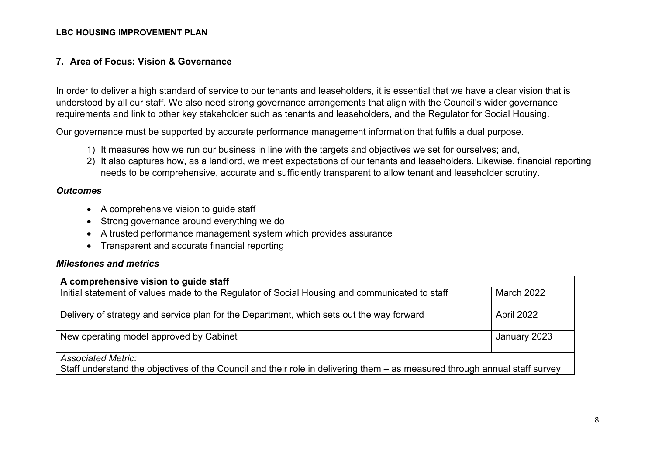#### **7. Area of Focus: Vision & Governance**

In order to deliver a high standard of service to our tenants and leaseholders, it is essential that we have a clear vision that is understood by all our staff. We also need strong governance arrangements that align with the Council's wider governance requirements and link to other key stakeholder such as tenants and leaseholders, and the Regulator for Social Housing.

Our governance must be supported by accurate performance management information that fulfils a dual purpose.

- 1) It measures how we run our business in line with the targets and objectives we set for ourselves; and,
- 2) It also captures how, as a landlord, we meet expectations of our tenants and leaseholders. Likewise, financial reporting needs to be comprehensive, accurate and sufficiently transparent to allow tenant and leaseholder scrutiny.

#### *Outcomes*

- A comprehensive vision to guide staff
- Strong governance around everything we do
- A trusted performance management system which provides assurance
- Transparent and accurate financial reporting

| A comprehensive vision to guide staff                                                                                                                   |                   |
|---------------------------------------------------------------------------------------------------------------------------------------------------------|-------------------|
| Initial statement of values made to the Regulator of Social Housing and communicated to staff                                                           | <b>March 2022</b> |
| Delivery of strategy and service plan for the Department, which sets out the way forward                                                                | April 2022        |
| New operating model approved by Cabinet                                                                                                                 | January 2023      |
| <b>Associated Metric:</b><br>Staff understand the objectives of the Council and their role in delivering them – as measured through annual staff survey |                   |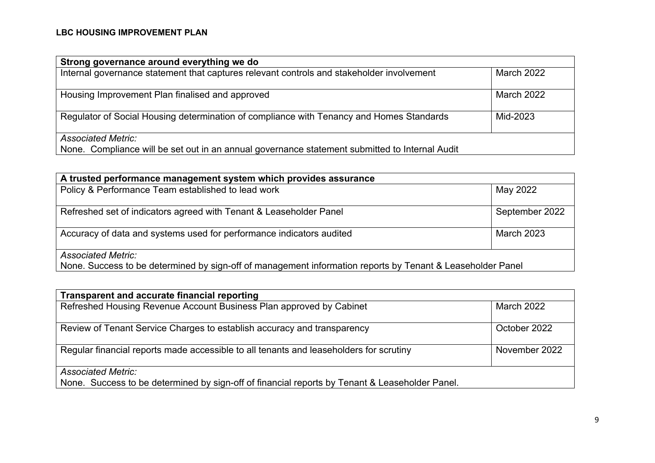| Strong governance around everything we do                                                      |                   |
|------------------------------------------------------------------------------------------------|-------------------|
| Internal governance statement that captures relevant controls and stakeholder involvement      | March 2022        |
| Housing Improvement Plan finalised and approved                                                | <b>March 2022</b> |
| Regulator of Social Housing determination of compliance with Tenancy and Homes Standards       | Mid-2023          |
| <b>Associated Metric:</b>                                                                      |                   |
| None. Compliance will be set out in an annual governance statement submitted to Internal Audit |                   |

| A trusted performance management system which provides assurance                                                                        |                   |
|-----------------------------------------------------------------------------------------------------------------------------------------|-------------------|
| Policy & Performance Team established to lead work                                                                                      | May 2022, May     |
| Refreshed set of indicators agreed with Tenant & Leaseholder Panel                                                                      | September 2022    |
| Accuracy of data and systems used for performance indicators audited                                                                    | <b>March 2023</b> |
| <b>Associated Metric:</b><br>None. Success to be determined by sign-off of management information reports by Tenant & Leaseholder Panel |                   |

| Transparent and accurate financial reporting                                                   |                   |
|------------------------------------------------------------------------------------------------|-------------------|
| Refreshed Housing Revenue Account Business Plan approved by Cabinet                            | <b>March 2022</b> |
| Review of Tenant Service Charges to establish accuracy and transparency                        | October 2022      |
| Regular financial reports made accessible to all tenants and leaseholders for scrutiny         | November 2022     |
| <b>Associated Metric:</b>                                                                      |                   |
| None. Success to be determined by sign-off of financial reports by Tenant & Leaseholder Panel. |                   |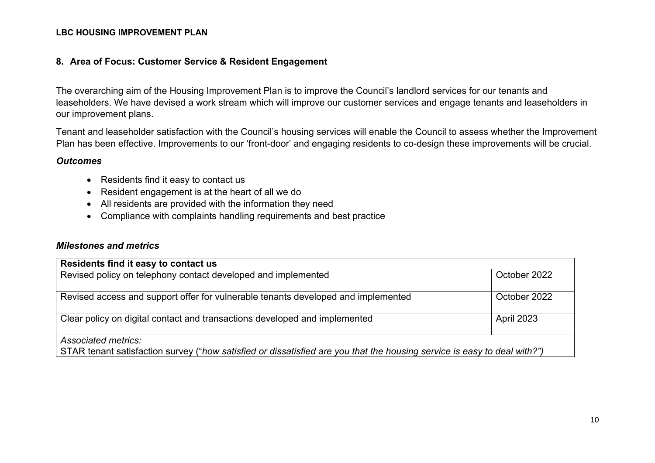#### **8. Area of Focus: Customer Service & Resident Engagement**

The overarching aim of the Housing Improvement Plan is to improve the Council's landlord services for our tenants and leaseholders. We have devised a work stream which will improve our customer services and engage tenants and leaseholders in our improvement plans.

Tenant and leaseholder satisfaction with the Council's housing services will enable the Council to assess whether the Improvement Plan has been effective. Improvements to our 'front-door' and engaging residents to co-design these improvements will be crucial.

#### *Outcomes*

- Residents find it easy to contact us
- Resident engagement is at the heart of all we do
- All residents are provided with the information they need
- Compliance with complaints handling requirements and best practice

| Residents find it easy to contact us                                                                                                            |              |
|-------------------------------------------------------------------------------------------------------------------------------------------------|--------------|
| Revised policy on telephony contact developed and implemented                                                                                   | October 2022 |
| Revised access and support offer for vulnerable tenants developed and implemented                                                               | October 2022 |
| Clear policy on digital contact and transactions developed and implemented                                                                      | April 2023   |
| Associated metrics:<br>STAR tenant satisfaction survey ("how satisfied or dissatisfied are you that the housing service is easy to deal with?") |              |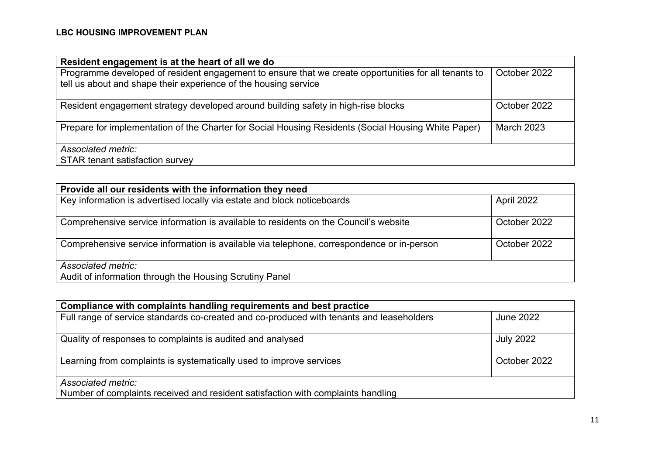| Resident engagement is at the heart of all we do                                                                                                                        |                   |
|-------------------------------------------------------------------------------------------------------------------------------------------------------------------------|-------------------|
| Programme developed of resident engagement to ensure that we create opportunities for all tenants to<br>tell us about and shape their experience of the housing service | October 2022      |
| Resident engagement strategy developed around building safety in high-rise blocks                                                                                       | October 2022      |
| Prepare for implementation of the Charter for Social Housing Residents (Social Housing White Paper)                                                                     | <b>March 2023</b> |
| Associated metric:                                                                                                                                                      |                   |
| <b>STAR tenant satisfaction survey</b>                                                                                                                                  |                   |

| Provide all our residents with the information they need                                  |              |
|-------------------------------------------------------------------------------------------|--------------|
| Key information is advertised locally via estate and block noticeboards                   | April 2022   |
| Comprehensive service information is available to residents on the Council's website      | October 2022 |
| Comprehensive service information is available via telephone, correspondence or in-person | October 2022 |
| Associated metric:<br>Audit of information through the Housing Scrutiny Panel             |              |

| Compliance with complaints handling requirements and best practice                       |                  |
|------------------------------------------------------------------------------------------|------------------|
| Full range of service standards co-created and co-produced with tenants and leaseholders | June 2022        |
| Quality of responses to complaints is audited and analysed                               | <b>July 2022</b> |
| Learning from complaints is systematically used to improve services                      | October 2022     |
| Associated metric:                                                                       |                  |
| Number of complaints received and resident satisfaction with complaints handling         |                  |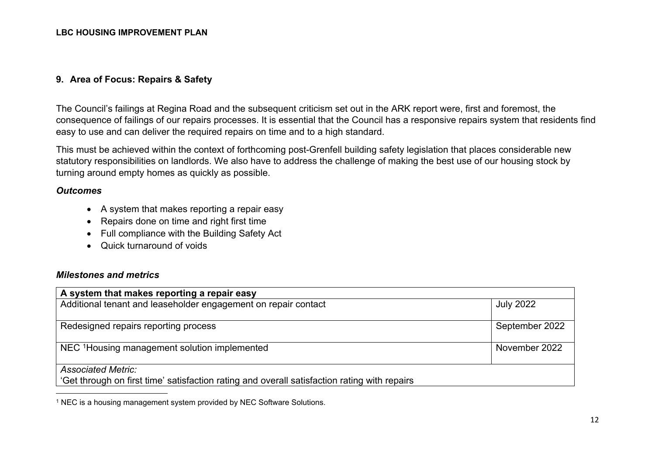#### **9. Area of Focus: Repairs & Safety**

The Council's failings at Regina Road and the subsequent criticism set out in the ARK report were, first and foremost, the consequence of failings of our repairs processes. It is essential that the Council has a responsive repairs system that residents find easy to use and can deliver the required repairs on time and to a high standard.

This must be achieved within the context of forthcoming post-Grenfell building safety legislation that places considerable new statutory responsibilities on landlords. We also have to address the challenge of making the best use of our housing stock by turning around empty homes as quickly as possible.

#### *Outcomes*

- A system that makes reporting a repair easy
- Repairs done on time and right first time
- Full compliance with the Building Safety Act
- Quick turnaround of voids

#### *Milestones and metrics*

| A system that makes reporting a repair easy                                                  |                  |
|----------------------------------------------------------------------------------------------|------------------|
| Additional tenant and leaseholder engagement on repair contact                               | <b>July 2022</b> |
|                                                                                              |                  |
| Redesigned repairs reporting process                                                         | September 2022   |
|                                                                                              |                  |
| NEC <sup>1</sup> Housing management solution implemented                                     | November 2022    |
|                                                                                              |                  |
| <b>Associated Metric:</b>                                                                    |                  |
| 'Get through on first time' satisfaction rating and overall satisfaction rating with repairs |                  |

<sup>1</sup> NEC is a housing management system provided by NEC Software Solutions.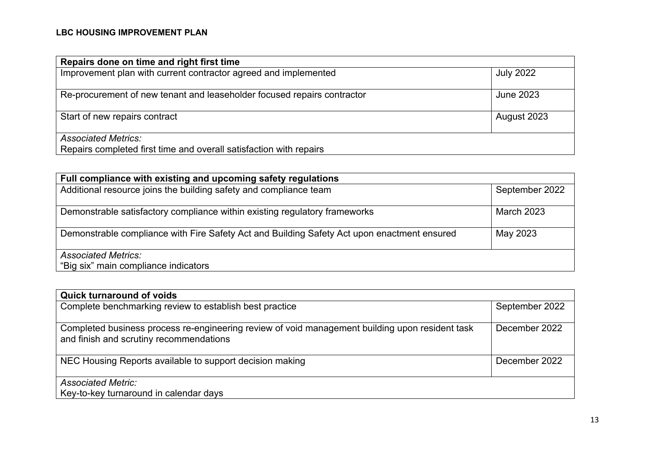| Repairs done on time and right first time                                                        |                  |
|--------------------------------------------------------------------------------------------------|------------------|
| Improvement plan with current contractor agreed and implemented                                  | <b>July 2022</b> |
| Re-procurement of new tenant and leaseholder focused repairs contractor                          | <b>June 2023</b> |
| Start of new repairs contract                                                                    | August 2023      |
| <b>Associated Metrics:</b><br>Repairs completed first time and overall satisfaction with repairs |                  |

| Full compliance with existing and upcoming safety regulations                               |                   |
|---------------------------------------------------------------------------------------------|-------------------|
| Additional resource joins the building safety and compliance team                           | September 2022    |
| Demonstrable satisfactory compliance within existing regulatory frameworks                  | <b>March 2023</b> |
| Demonstrable compliance with Fire Safety Act and Building Safety Act upon enactment ensured | May 2023          |
| <b>Associated Metrics:</b><br>"Big six" main compliance indicators                          |                   |

| <b>Quick turnaround of voids</b>                                                                                                           |                |
|--------------------------------------------------------------------------------------------------------------------------------------------|----------------|
| Complete benchmarking review to establish best practice                                                                                    | September 2022 |
| Completed business process re-engineering review of void management building upon resident task<br>and finish and scrutiny recommendations | December 2022  |
| NEC Housing Reports available to support decision making                                                                                   | December 2022  |
| <b>Associated Metric:</b><br>Key-to-key turnaround in calendar days                                                                        |                |
|                                                                                                                                            |                |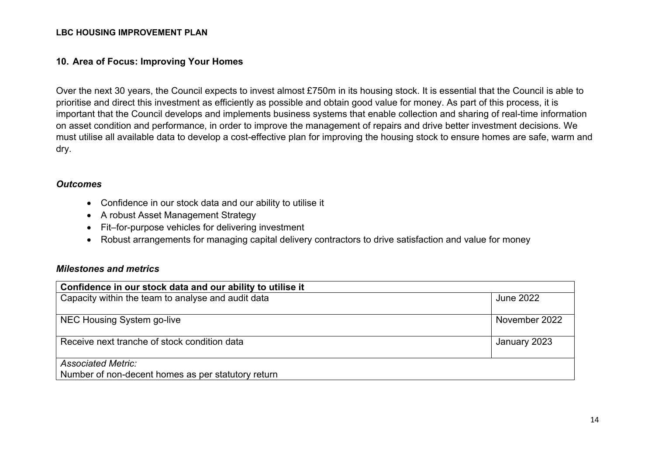#### **10. Area of Focus: Improving Your Homes**

Over the next 30 years, the Council expects to invest almost £750m in its housing stock. It is essential that the Council is able to prioritise and direct this investment as efficiently as possible and obtain good value for money. As part of this process, it is important that the Council develops and implements business systems that enable collection and sharing of real-time information on asset condition and performance, in order to improve the management of repairs and drive better investment decisions. We must utilise all available data to develop a cost-effective plan for improving the housing stock to ensure homes are safe, warm and dry.

#### *Outcomes*

- Confidence in our stock data and our ability to utilise it
- A robust Asset Management Strategy
- Fit–for-purpose vehicles for delivering investment
- Robust arrangements for managing capital delivery contractors to drive satisfaction and value for money

| Confidence in our stock data and our ability to utilise it |               |
|------------------------------------------------------------|---------------|
| Capacity within the team to analyse and audit data         | June 2022     |
|                                                            |               |
| NEC Housing System go-live                                 | November 2022 |
|                                                            |               |
| Receive next tranche of stock condition data               | January 2023  |
|                                                            |               |
| <b>Associated Metric:</b>                                  |               |
| Number of non-decent homes as per statutory return         |               |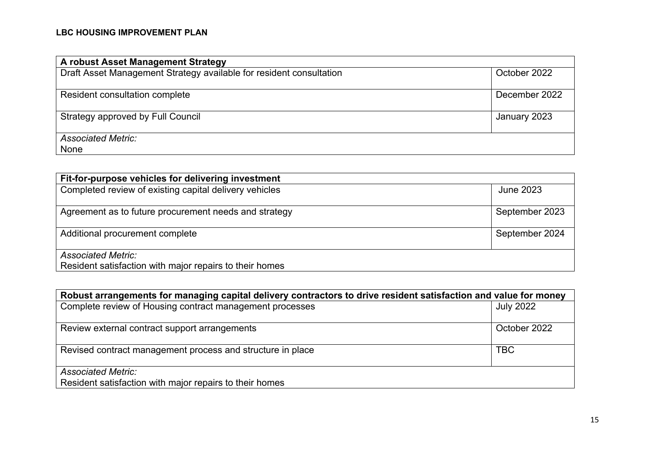| A robust Asset Management Strategy                                  |               |
|---------------------------------------------------------------------|---------------|
| Draft Asset Management Strategy available for resident consultation | October 2022  |
|                                                                     |               |
| Resident consultation complete                                      | December 2022 |
|                                                                     |               |
| Strategy approved by Full Council                                   | January 2023  |
|                                                                     |               |
| <b>Associated Metric:</b>                                           |               |
| None                                                                |               |

| Fit-for-purpose vehicles for delivering investment                                   |                |
|--------------------------------------------------------------------------------------|----------------|
| Completed review of existing capital delivery vehicles                               | June 2023      |
| Agreement as to future procurement needs and strategy                                | September 2023 |
| Additional procurement complete                                                      | September 2024 |
| <b>Associated Metric:</b><br>Resident satisfaction with major repairs to their homes |                |

| Robust arrangements for managing capital delivery contractors to drive resident satisfaction and value for money |                  |
|------------------------------------------------------------------------------------------------------------------|------------------|
| Complete review of Housing contract management processes                                                         | <b>July 2022</b> |
|                                                                                                                  |                  |
| Review external contract support arrangements                                                                    | October 2022     |
|                                                                                                                  |                  |
| Revised contract management process and structure in place                                                       | <b>TBC</b>       |
|                                                                                                                  |                  |
| <b>Associated Metric:</b>                                                                                        |                  |
| Resident satisfaction with major repairs to their homes                                                          |                  |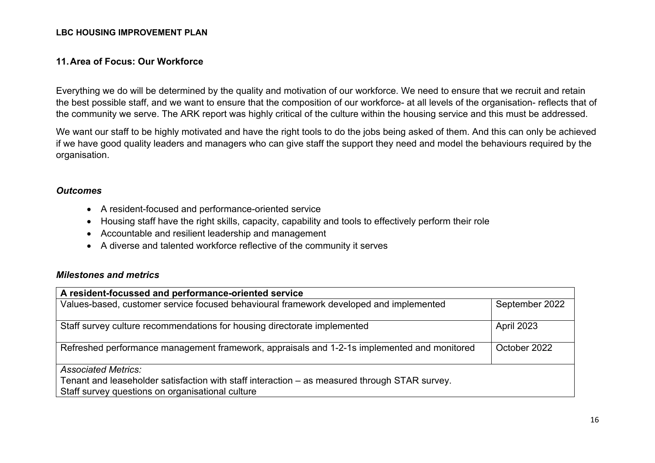#### **11.Area of Focus: Our Workforce**

Everything we do will be determined by the quality and motivation of our workforce. We need to ensure that we recruit and retain the best possible staff, and we want to ensure that the composition of our workforce- at all levels of the organisation- reflects that of the community we serve. The ARK report was highly critical of the culture within the housing service and this must be addressed.

We want our staff to be highly motivated and have the right tools to do the jobs being asked of them. And this can only be achieved if we have good quality leaders and managers who can give staff the support they need and model the behaviours required by the organisation.

#### *Outcomes*

- A resident-focused and performance-oriented service
- Housing staff have the right skills, capacity, capability and tools to effectively perform their role
- Accountable and resilient leadership and management
- A diverse and talented workforce reflective of the community it serves

| A resident-focussed and performance-oriented service                                          |                |
|-----------------------------------------------------------------------------------------------|----------------|
| Values-based, customer service focused behavioural framework developed and implemented        | September 2022 |
| Staff survey culture recommendations for housing directorate implemented                      | April 2023     |
| Refreshed performance management framework, appraisals and 1-2-1s implemented and monitored   | October 2022   |
| <b>Associated Metrics:</b>                                                                    |                |
| Tenant and leaseholder satisfaction with staff interaction – as measured through STAR survey. |                |
| Staff survey questions on organisational culture                                              |                |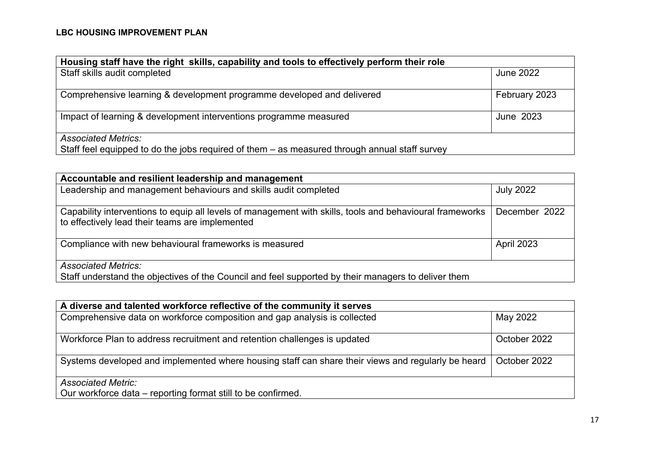| Housing staff have the right skills, capability and tools to effectively perform their role                                 |                  |
|-----------------------------------------------------------------------------------------------------------------------------|------------------|
| Staff skills audit completed                                                                                                | <b>June 2022</b> |
| Comprehensive learning & development programme developed and delivered                                                      | February 2023    |
| Impact of learning & development interventions programme measured                                                           | June 2023        |
| <b>Associated Metrics:</b><br>Staff feel equipped to do the jobs required of them – as measured through annual staff survey |                  |

| Accountable and resilient leadership and management                                                                                                         |                  |  |
|-------------------------------------------------------------------------------------------------------------------------------------------------------------|------------------|--|
| Leadership and management behaviours and skills audit completed                                                                                             | <b>July 2022</b> |  |
| Capability interventions to equip all levels of management with skills, tools and behavioural frameworks<br>to effectively lead their teams are implemented | December 2022    |  |
| Compliance with new behavioural frameworks is measured                                                                                                      | April 2023       |  |
| <b>Associated Metrics:</b>                                                                                                                                  |                  |  |
| Staff understand the objectives of the Council and feel supported by their managers to deliver them                                                         |                  |  |

| A diverse and talented workforce reflective of the community it serves                             |              |
|----------------------------------------------------------------------------------------------------|--------------|
| Comprehensive data on workforce composition and gap analysis is collected                          | May 2022     |
| Workforce Plan to address recruitment and retention challenges is updated                          | October 2022 |
| Systems developed and implemented where housing staff can share their views and regularly be heard | October 2022 |
| <b>Associated Metric:</b>                                                                          |              |
| Our workforce data - reporting format still to be confirmed.                                       |              |